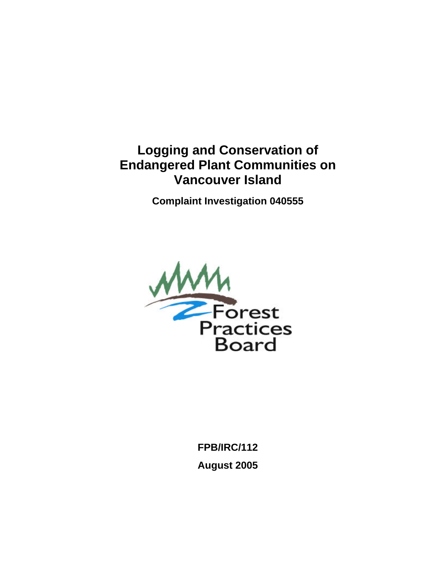### **Logging and Conservation of Endangered Plant Communities on Vancouver Island**

**Complaint Investigation 040555** 



**FPB/IRC/112 August 2005**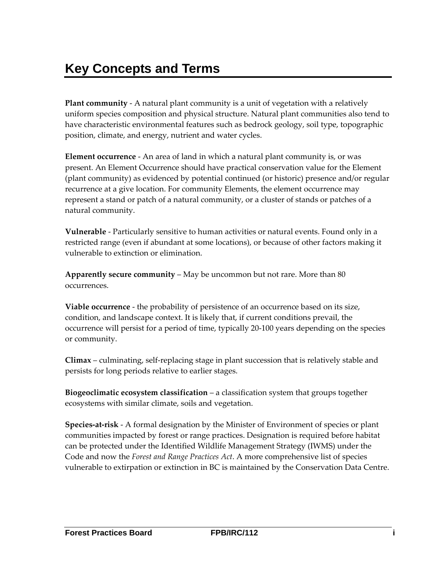# <span id="page-1-0"></span>**Key Concepts and Terms**

**Plant community** ‐ A natural plant community is a unit of vegetation with a relatively uniform species composition and physical structure. Natural plant communities also tend to have characteristic environmental features such as bedrock geology, soil type, topographic position, climate, and energy, nutrient and water cycles.

**Element occurrence** ‐ An area of land in which a natural plant community is, or was present. An Element Occurrence should have practical conservation value for the Element (plant community) as evidenced by potential continued (or historic) presence and/or regular recurrence at a give location. For community Elements, the element occurrence may represent a stand or patch of a natural community, or a cluster of stands or patches of a natural community.

**Vulnerable** ‐ Particularly sensitive to human activities or natural events. Found only in a restricted range (even if abundant at some locations), or because of other factors making it vulnerable to extinction or elimination.

**Apparently secure community** – May be uncommon but not rare. More than 80 occurrences.

**Viable occurrence** ‐ the probability of persistence of an occurrence based on its size, condition, and landscape context. It is likely that, if current conditions prevail, the occurrence will persist for a period of time, typically 20‐100 years depending on the species or community.

**Climax** – culminating, self‐replacing stage in plant succession that is relatively stable and persists for long periods relative to earlier stages.

**Biogeoclimatic ecosystem classification** – a classification system that groups together ecosystems with similar climate, soils and vegetation.

**Species‐at‐risk** ‐ A formal designation by the Minister of Environment of species or plant communities impacted by forest or range practices. Designation is required before habitat can be protected under the Identified Wildlife Management Strategy (IWMS) under the Code and now the *Forest and Range Practices Act*. A more comprehensive list of species vulnerable to extirpation or extinction in BC is maintained by the Conservation Data Centre.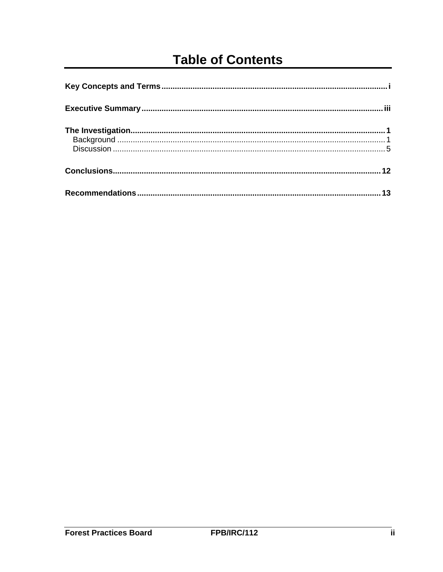## **Table of Contents**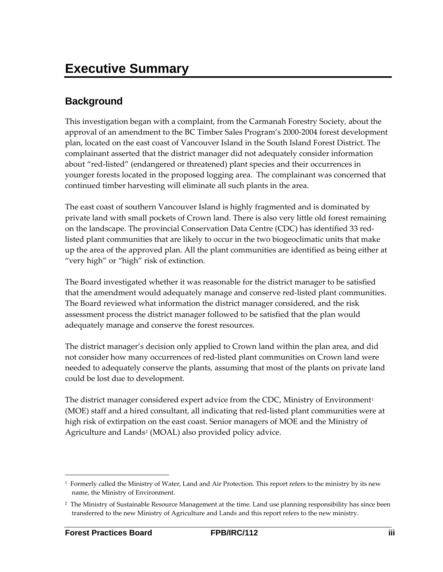### <span id="page-3-0"></span>**Background**

This investigation began with a complaint, from the Carmanah Forestry Society, about the approval of an amendment to the BC Timber Sales Program's 2000‐2004 forest development plan, located on the east coast of Vancouver Island in the South Island Forest District. The complainant asserted that the district manager did not adequately consider information about "red‐listed" (endangered or threatened) plant species and their occurrences in younger forests located in the proposed logging area. The complainant was concerned that continued timber harvesting will eliminate all such plants in the area.

The east coast of southern Vancouver Island is highly fragmented and is dominated by private land with small pockets of Crown land. There is also very little old forest remaining on the landscape. The provincial Conservation Data Centre (CDC) has identified 33 red‐ listed plant communities that are likely to occur in the two biogeoclimatic units that make up the area of the approved plan. All the plant communities are identified as being either at "very high" or "high" risk of extinction.

The Board investigated whether it was reasonable for the district manager to be satisfied that the amendment would adequately manage and conserve red‐listed plant communities. The Board reviewed what information the district manager considered, and the risk assessment process the district manager followed to be satisfied that the plan would adequately manage and conserve the forest resources.

The district manager's decision only applied to Crown land within the plan area, and did not consider how many occurrences of red‐listed plant communities on Crown land were needed to adequately conserve the plants, assuming that most of the plants on private land could be lost due to development.

The district manager considered expert advice from the CDC, Ministry of Environment<sup>[1](#page-3-1)</sup> (MOE) staff and a hired consultant, all indicating that red‐listed plant communities were at high risk of extirpation on the east coast. Senior managers of MOE and the Ministry of Agriculture and Lands<sup>[2](#page-3-2)</sup> (MOAL) also provided policy advice.

<span id="page-3-1"></span><sup>&</sup>lt;u> 1989 - Johann Stein, marwolaethau a bh</u> <sup>1</sup> Formerly called the Ministry of Water, Land and Air Protection. This report refers to the ministry by its new name, the Ministry of Environment.

<span id="page-3-2"></span><sup>&</sup>lt;sup>2</sup> The Ministry of Sustainable Resource Management at the time. Land use planning responsibility has since been transferred to the new Ministry of Agriculture and Lands and this report refers to the new ministry.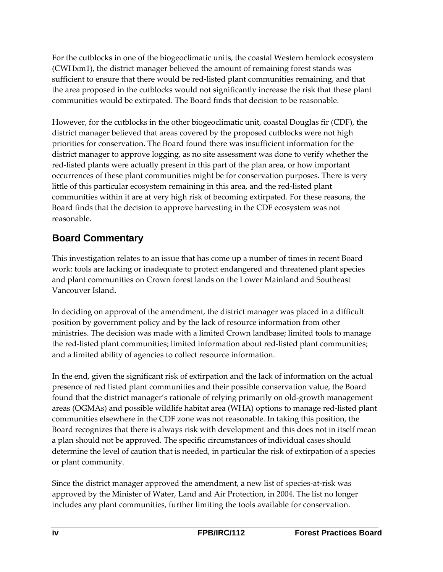For the cutblocks in one of the biogeoclimatic units, the coastal Western hemlock ecosystem (CWHxm1), the district manager believed the amount of remaining forest stands was sufficient to ensure that there would be red-listed plant communities remaining, and that the area proposed in the cutblocks would not significantly increase the risk that these plant communities would be extirpated. The Board finds that decision to be reasonable.

However, for the cutblocks in the other biogeoclimatic unit, coastal Douglas fir (CDF), the district manager believed that areas covered by the proposed cutblocks were not high priorities for conservation. The Board found there was insufficient information for the district manager to approve logging, as no site assessment was done to verify whether the red‐listed plants were actually present in this part of the plan area, or how important occurrences of these plant communities might be for conservation purposes. There is very little of this particular ecosystem remaining in this area, and the red‐listed plant communities within it are at very high risk of becoming extirpated. For these reasons, the Board finds that the decision to approve harvesting in the CDF ecosystem was not reasonable.

### **Board Commentary**

This investigation relates to an issue that has come up a number of times in recent Board work: tools are lacking or inadequate to protect endangered and threatened plant species and plant communities on Crown forest lands on the Lower Mainland and Southeast Vancouver Island**.**

In deciding on approval of the amendment, the district manager was placed in a difficult position by government policy and by the lack of resource information from other ministries. The decision was made with a limited Crown landbase; limited tools to manage the red‐listed plant communities; limited information about red‐listed plant communities; and a limited ability of agencies to collect resource information.

In the end, given the significant risk of extirpation and the lack of information on the actual presence of red listed plant communities and their possible conservation value, the Board found that the district manager's rationale of relying primarily on old‐growth management areas (OGMAs) and possible wildlife habitat area (WHA) options to manage red‐listed plant communities elsewhere in the CDF zone was not reasonable. In taking this position, the Board recognizes that there is always risk with development and this does not in itself mean a plan should not be approved. The specific circumstances of individual cases should determine the level of caution that is needed, in particular the risk of extirpation of a species or plant community.

Since the district manager approved the amendment, a new list of species‐at‐risk was approved by the Minister of Water, Land and Air Protection, in 2004. The list no longer includes any plant communities, further limiting the tools available for conservation.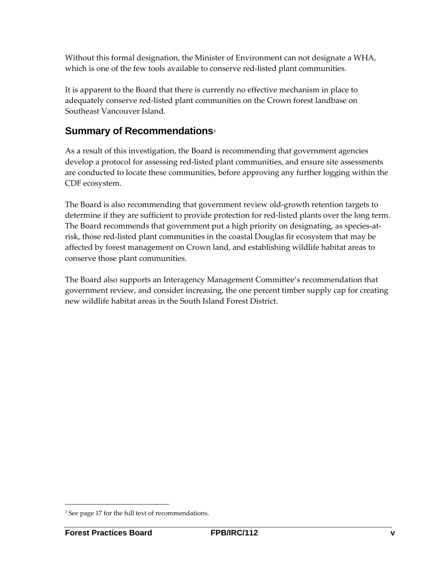Without this formal designation, the Minister of Environment can not designate a WHA, which is one of the few tools available to conserve red-listed plant communities.

It is apparent to the Board that there is currently no effective mechanism in place to adequately conserve red‐listed plant communities on the Crown forest landbase on Southeast Vancouver Island.

#### **Summary of Recommendations[3](#page-5-0)**

As a result of this investigation, the Board is recommending that government agencies develop a protocol for assessing red‐listed plant communities, and ensure site assessments are conducted to locate these communities, before approving any further logging within the CDF ecosystem.

The Board is also recommending that government review old‐growth retention targets to determine if they are sufficient to provide protection for red‐listed plants over the long term. The Board recommends that government put a high priority on designating, as species-atrisk, those red‐listed plant communities in the coastal Douglas fir ecosystem that may be affected by forest management on Crown land, and establishing wildlife habitat areas to conserve those plant communities.

The Board also supports an Interagency Management Committee's recommendation that government review, and consider increasing, the one percent timber supply cap for creating new wildlife habitat areas in the South Island Forest District.

<u> 1989 - Johann Stein, marwolaethau a bh</u>

<span id="page-5-0"></span><sup>&</sup>lt;sup>3</sup> See page 17 for the full text of recommendations.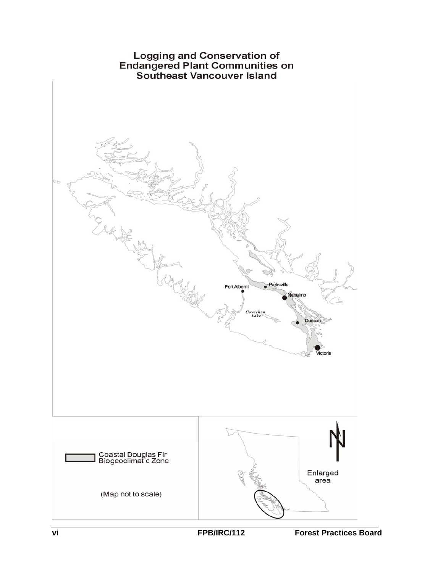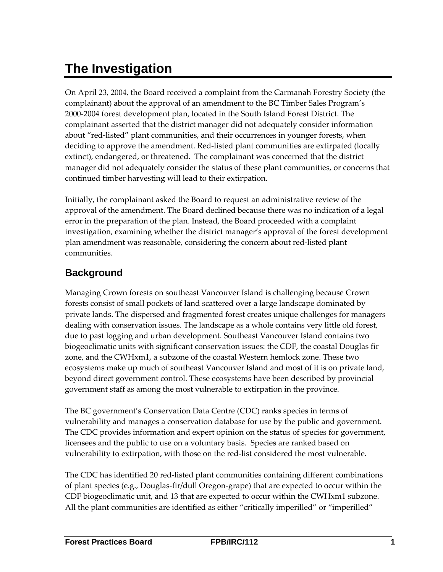# <span id="page-7-0"></span>**The Investigation**

On April 23, 2004, the Board received a complaint from the Carmanah Forestry Society (the complainant) about the approval of an amendment to the BC Timber Sales Program's 2000‐2004 forest development plan, located in the South Island Forest District. The complainant asserted that the district manager did not adequately consider information about "red‐listed" plant communities, and their occurrences in younger forests, when deciding to approve the amendment. Red‐listed plant communities are extirpated (locally extinct), endangered, or threatened. The complainant was concerned that the district manager did not adequately consider the status of these plant communities, or concerns that continued timber harvesting will lead to their extirpation.

Initially, the complainant asked the Board to request an administrative review of the approval of the amendment. The Board declined because there was no indication of a legal error in the preparation of the plan. Instead, the Board proceeded with a complaint investigation, examining whether the district manager's approval of the forest development plan amendment was reasonable, considering the concern about red‐listed plant communities.

### **Background**

Managing Crown forests on southeast Vancouver Island is challenging because Crown forests consist of small pockets of land scattered over a large landscape dominated by private lands. The dispersed and fragmented forest creates unique challenges for managers dealing with conservation issues. The landscape as a whole contains very little old forest, due to past logging and urban development. Southeast Vancouver Island contains two biogeoclimatic units with significant conservation issues: the CDF, the coastal Douglas fir zone, and the CWHxm1, a subzone of the coastal Western hemlock zone. These two ecosystems make up much of southeast Vancouver Island and most of it is on private land, beyond direct government control. These ecosystems have been described by provincial government staff as among the most vulnerable to extirpation in the province.

The BC government's Conservation Data Centre (CDC) ranks species in terms of vulnerability and manages a conservation database for use by the public and government. The CDC provides information and expert opinion on the status of species for government, licensees and the public to use on a voluntary basis. Species are ranked based on vulnerability to extirpation, with those on the red‐list considered the most vulnerable.

The CDC has identified 20 red-listed plant communities containing different combinations of plant species (e.g., Douglas‐fir/dull Oregon‐grape) that are expected to occur within the CDF biogeoclimatic unit, and 13 that are expected to occur within the CWHxm1 subzone. All the plant communities are identified as either "critically imperilled" or "imperilled"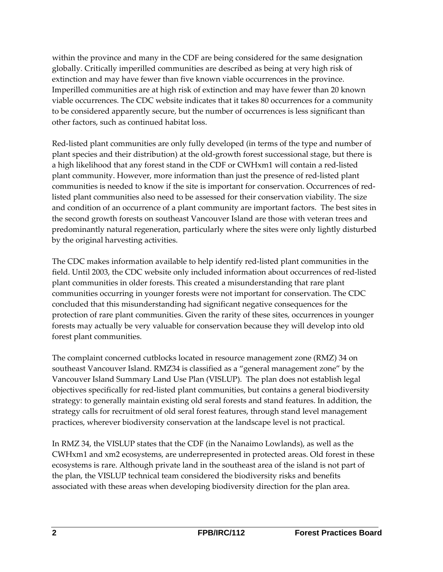within the province and many in the CDF are being considered for the same designation globally. Critically imperilled communities are described as being at very high risk of extinction and may have fewer than five known viable occurrences in the province. Imperilled communities are at high risk of extinction and may have fewer than 20 known viable occurrences. The CDC website indicates that it takes 80 occurrences for a community to be considered apparently secure, but the number of occurrences is less significant than other factors, such as continued habitat loss.

Red‐listed plant communities are only fully developed (in terms of the type and number of plant species and their distribution) at the old‐growth forest successional stage, but there is a high likelihood that any forest stand in the CDF or CWHxm1 will contain a red‐listed plant community. However, more information than just the presence of red‐listed plant communities is needed to know if the site is important for conservation. Occurrences of red‐ listed plant communities also need to be assessed for their conservation viability. The size and condition of an occurrence of a plant community are important factors. The best sites in the second growth forests on southeast Vancouver Island are those with veteran trees and predominantly natural regeneration, particularly where the sites were only lightly disturbed by the original harvesting activities.

The CDC makes information available to help identify red‐listed plant communities in the field. Until 2003, the CDC website only included information about occurrences of red‐listed plant communities in older forests. This created a misunderstanding that rare plant communities occurring in younger forests were not important for conservation. The CDC concluded that this misunderstanding had significant negative consequences for the protection of rare plant communities. Given the rarity of these sites, occurrences in younger forests may actually be very valuable for conservation because they will develop into old forest plant communities.

The complaint concerned cutblocks located in resource management zone (RMZ) 34 on southeast Vancouver Island. RMZ34 is classified as a "general management zone" by the Vancouver Island Summary Land Use Plan (VISLUP). The plan does not establish legal objectives specifically for red‐listed plant communities, but contains a general biodiversity strategy: to generally maintain existing old seral forests and stand features. In addition, the strategy calls for recruitment of old seral forest features, through stand level management practices, wherever biodiversity conservation at the landscape level is not practical.

In RMZ 34, the VISLUP states that the CDF (in the Nanaimo Lowlands), as well as the CWHxm1 and xm2 ecosystems, are underrepresented in protected areas. Old forest in these ecosystems is rare. Although private land in the southeast area of the island is not part of the plan, the VISLUP technical team considered the biodiversity risks and benefits associated with these areas when developing biodiversity direction for the plan area.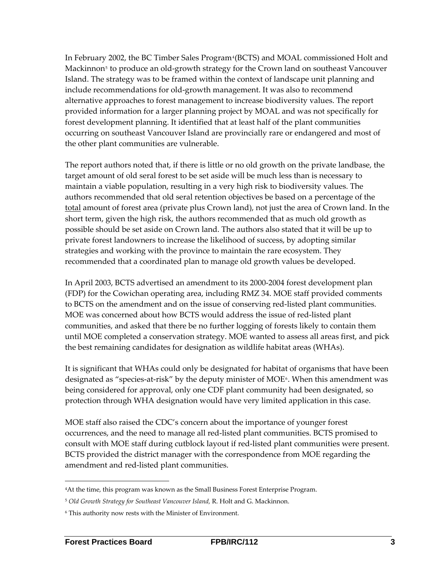In February 2002, the BC Timber Sales Program<sup>[4](#page-9-0)</sup>(BCTS) and MOAL commissioned Holt and Mackinnon<sup>[5](#page-9-1)</sup> to produce an old-growth strategy for the Crown land on southeast Vancouver Island. The strategy was to be framed within the context of landscape unit planning and include recommendations for old‐growth management. It was also to recommend alternative approaches to forest management to increase biodiversity values. The report provided information for a larger planning project by MOAL and was not specifically for forest development planning. It identified that at least half of the plant communities occurring on southeast Vancouver Island are provincially rare or endangered and most of the other plant communities are vulnerable.

The report authors noted that, if there is little or no old growth on the private landbase, the target amount of old seral forest to be set aside will be much less than is necessary to maintain a viable population, resulting in a very high risk to biodiversity values. The authors recommended that old seral retention objectives be based on a percentage of the total amount of forest area (private plus Crown land), not just the area of Crown land. In the short term, given the high risk, the authors recommended that as much old growth as possible should be set aside on Crown land. The authors also stated that it will be up to private forest landowners to increase the likelihood of success, by adopting similar strategies and working with the province to maintain the rare ecosystem. They recommended that a coordinated plan to manage old growth values be developed.

In April 2003, BCTS advertised an amendment to its 2000‐2004 forest development plan (FDP) for the Cowichan operating area, including RMZ 34. MOE staff provided comments to BCTS on the amendment and on the issue of conserving red‐listed plant communities. MOE was concerned about how BCTS would address the issue of red‐listed plant communities, and asked that there be no further logging of forests likely to contain them until MOE completed a conservation strategy. MOE wanted to assess all areas first, and pick the best remaining candidates for designation as wildlife habitat areas (WHAs).

It is significant that WHAs could only be designated for habitat of organisms that have been designated as "species-at-risk" by the deputy minister of MOE<sup>[6](#page-9-2)</sup>. When this amendment was being considered for approval, only one CDF plant community had been designated, so protection through WHA designation would have very limited application in this case.

MOE staff also raised the CDC's concern about the importance of younger forest occurrences, and the need to manage all red‐listed plant communities. BCTS promised to consult with MOE staff during cutblock layout if red‐listed plant communities were present. BCTS provided the district manager with the correspondence from MOE regarding the amendment and red‐listed plant communities.

<u> 1989 - Johann Stein, marwolaethau a bh</u>

<span id="page-9-0"></span><sup>4</sup>At the time, this program was known as the Small Business Forest Enterprise Program.

<span id="page-9-1"></span><sup>5</sup> *Old Growth Strategy for Southeast Vancouver Island,* R. Holt and G. Mackinnon.

<span id="page-9-2"></span><sup>6</sup> This authority now rests with the Minister of Environment.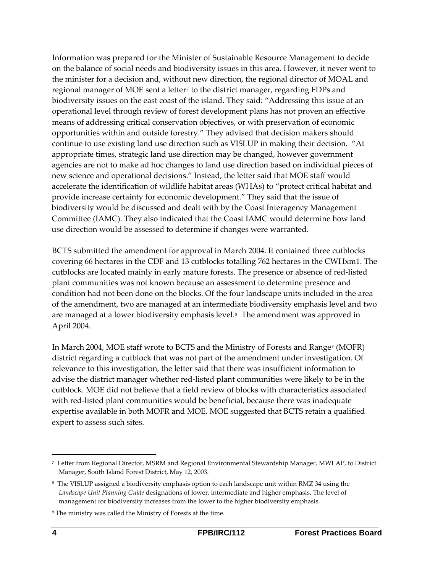Information was prepared for the Minister of Sustainable Resource Management to decide on the balance of social needs and biodiversity issues in this area. However, it never went to the minister for a decision and, without new direction, the regional director of MOAL and regional manager of MOE sent a letter<sup>[7](#page-10-0)</sup> to the district manager, regarding FDPs and biodiversity issues on the east coast of the island. They said: "Addressing this issue at an operational level through review of forest development plans has not proven an effective means of addressing critical conservation objectives, or with preservation of economic opportunities within and outside forestry." They advised that decision makers should continue to use existing land use direction such as VISLUP in making their decision. "At appropriate times, strategic land use direction may be changed, however government agencies are not to make ad hoc changes to land use direction based on individual pieces of new science and operational decisions." Instead, the letter said that MOE staff would accelerate the identification of wildlife habitat areas (WHAs) to "protect critical habitat and provide increase certainty for economic development." They said that the issue of biodiversity would be discussed and dealt with by the Coast Interagency Management Committee (IAMC). They also indicated that the Coast IAMC would determine how land use direction would be assessed to determine if changes were warranted.

BCTS submitted the amendment for approval in March 2004. It contained three cutblocks covering 66 hectares in the CDF and 13 cutblocks totalling 762 hectares in the CWHxm1. The cutblocks are located mainly in early mature forests. The presence or absence of red‐listed plant communities was not known because an assessment to determine presence and condition had not been done on the blocks. Of the four landscape units included in the area of the amendment, two are managed at an intermediate biodiversity emphasis level and two are managed at a lower biodiversity emphasis level. [8](#page-10-1) The amendment was approved in April 2004.

In March 2004, MOE staff wrote to BCTS and the Ministry of Forests and Range<sup>[9](#page-10-2)</sup> (MOFR) district regarding a cutblock that was not part of the amendment under investigation. Of relevance to this investigation, the letter said that there was insufficient information to advise the district manager whether red‐listed plant communities were likely to be in the cutblock. MOE did not believe that a field review of blocks with characteristics associated with red-listed plant communities would be beneficial, because there was inadequate expertise available in both MOFR and MOE. MOE suggested that BCTS retain a qualified expert to assess such sites.

<span id="page-10-0"></span><sup>7</sup> Letter from Regional Director, MSRM and Regional Environmental Stewardship Manager, MWLAP, to District Manager, South Island Forest District, May 12, 2003.

<span id="page-10-1"></span><sup>8</sup> The VISLUP assigned a biodiversity emphasis option to each landscape unit within RMZ 34 using the *Landscape Unit Planning Guide* designations of lower, intermediate and higher emphasis. The level of management for biodiversity increases from the lower to the higher biodiversity emphasis.

<span id="page-10-2"></span><sup>9</sup> The ministry was called the Ministry of Forests at the time.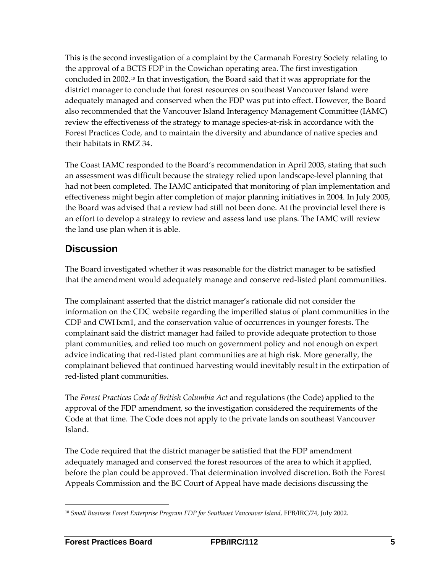<span id="page-11-0"></span>This is the second investigation of a complaint by the Carmanah Forestry Society relating to the approval of a BCTS FDP in the Cowichan operating area. The first investigation concluded in 2002.[10](#page-11-1) In that investigation, the Board said that it was appropriate for the district manager to conclude that forest resources on southeast Vancouver Island were adequately managed and conserved when the FDP was put into effect. However, the Board also recommended that the Vancouver Island Interagency Management Committee (IAMC) review the effectiveness of the strategy to manage species-at-risk in accordance with the Forest Practices Code, and to maintain the diversity and abundance of native species and their habitats in RMZ 34.

The Coast IAMC responded to the Board's recommendation in April 2003, stating that such an assessment was difficult because the strategy relied upon landscape‐level planning that had not been completed. The IAMC anticipated that monitoring of plan implementation and effectiveness might begin after completion of major planning initiatives in 2004. In July 2005, the Board was advised that a review had still not been done. At the provincial level there is an effort to develop a strategy to review and assess land use plans. The IAMC will review the land use plan when it is able.

#### **Discussion**

The Board investigated whether it was reasonable for the district manager to be satisfied that the amendment would adequately manage and conserve red‐listed plant communities.

The complainant asserted that the district manager's rationale did not consider the information on the CDC website regarding the imperilled status of plant communities in the CDF and CWHxm1, and the conservation value of occurrences in younger forests. The complainant said the district manager had failed to provide adequate protection to those plant communities, and relied too much on government policy and not enough on expert advice indicating that red‐listed plant communities are at high risk. More generally, the complainant believed that continued harvesting would inevitably result in the extirpation of red‐listed plant communities.

The *Forest Practices Code of British Columbia Act* and regulations (the Code) applied to the approval of the FDP amendment, so the investigation considered the requirements of the Code at that time. The Code does not apply to the private lands on southeast Vancouver Island.

The Code required that the district manager be satisfied that the FDP amendment adequately managed and conserved the forest resources of the area to which it applied, before the plan could be approved. That determination involved discretion. Both the Forest Appeals Commission and the BC Court of Appeal have made decisions discussing the

<span id="page-11-1"></span><sup>&</sup>lt;u> 1989 - Johann Stein, marwolaethau a bh</u> <sup>10</sup> *Small Business Forest Enterprise Program FDP for Southeast Vancouver Island,* FPB/IRC/74, July 2002.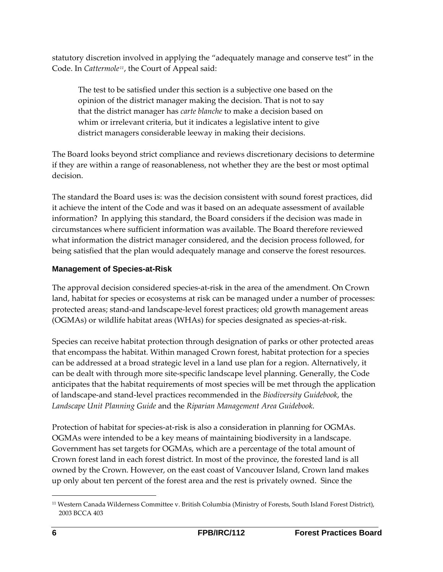statutory discretion involved in applying the "adequately manage and conserve test" in the Code. In *Cattermole[11](#page-12-0)*, the Court of Appeal said:

The test to be satisfied under this section is a subjective one based on the opinion of the district manager making the decision. That is not to say that the district manager has *carte blanche* to make a decision based on whim or irrelevant criteria, but it indicates a legislative intent to give district managers considerable leeway in making their decisions.

The Board looks beyond strict compliance and reviews discretionary decisions to determine if they are within a range of reasonableness, not whether they are the best or most optimal decision.

The standard the Board uses is: was the decision consistent with sound forest practices, did it achieve the intent of the Code and was it based on an adequate assessment of available information? In applying this standard, the Board considers if the decision was made in circumstances where sufficient information was available. The Board therefore reviewed what information the district manager considered, and the decision process followed, for being satisfied that the plan would adequately manage and conserve the forest resources.

#### **Management of Species-at-Risk**

The approval decision considered species‐at‐risk in the area of the amendment. On Crown land, habitat for species or ecosystems at risk can be managed under a number of processes: protected areas; stand‐and landscape‐level forest practices; old growth management areas (OGMAs) or wildlife habitat areas (WHAs) for species designated as species‐at‐risk.

Species can receive habitat protection through designation of parks or other protected areas that encompass the habitat. Within managed Crown forest, habitat protection for a species can be addressed at a broad strategic level in a land use plan for a region. Alternatively, it can be dealt with through more site‐specific landscape level planning. Generally, the Code anticipates that the habitat requirements of most species will be met through the application of landscape‐and stand‐level practices recommended in the *Biodiversity Guidebook*, the *Landscape Unit Planning Guide* and the *Riparian Management Area Guidebook*.

Protection of habitat for species-at-risk is also a consideration in planning for OGMAs. OGMAs were intended to be a key means of maintaining biodiversity in a landscape. Government has set targets for OGMAs, which are a percentage of the total amount of Crown forest land in each forest district. In most of the province, the forested land is all owned by the Crown. However, on the east coast of Vancouver Island, Crown land makes up only about ten percent of the forest area and the rest is privately owned. Since the

<span id="page-12-0"></span><sup>&</sup>lt;u> 1989 - Johann Barn, mars ar breithinn ar chuid ann an t-</u> <sup>11</sup> Western Canada Wilderness Committee v. British Columbia (Ministry of Forests, South Island Forest District), 2003 BCCA 403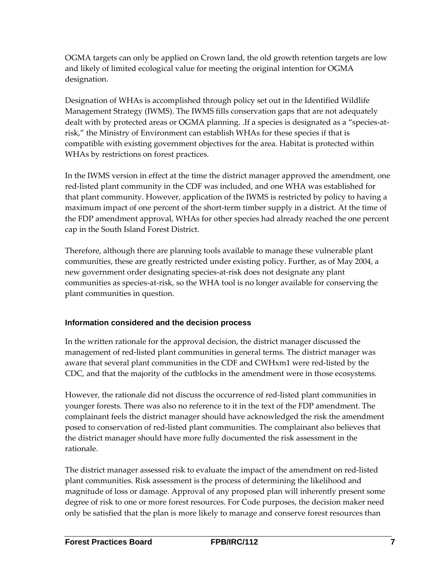OGMA targets can only be applied on Crown land, the old growth retention targets are low and likely of limited ecological value for meeting the original intention for OGMA designation.

Designation of WHAs is accomplished through policy set out in the Identified Wildlife Management Strategy (IWMS). The IWMS fills conservation gaps that are not adequately dealt with by protected areas or OGMA planning. .If a species is designated as a "species-atrisk," the Ministry of Environment can establish WHAs for these species if that is compatible with existing government objectives for the area. Habitat is protected within WHAs by restrictions on forest practices.

In the IWMS version in effect at the time the district manager approved the amendment, one red‐listed plant community in the CDF was included, and one WHA was established for that plant community. However, application of the IWMS is restricted by policy to having a maximum impact of one percent of the short-term timber supply in a district. At the time of the FDP amendment approval, WHAs for other species had already reached the one percent cap in the South Island Forest District.

Therefore, although there are planning tools available to manage these vulnerable plant communities, these are greatly restricted under existing policy. Further, as of May 2004, a new government order designating species‐at‐risk does not designate any plant communities as species-at-risk, so the WHA tool is no longer available for conserving the plant communities in question.

#### **Information considered and the decision process**

In the written rationale for the approval decision, the district manager discussed the management of red‐listed plant communities in general terms. The district manager was aware that several plant communities in the CDF and CWHxm1 were red‐listed by the CDC, and that the majority of the cutblocks in the amendment were in those ecosystems.

However, the rationale did not discuss the occurrence of red‐listed plant communities in younger forests. There was also no reference to it in the text of the FDP amendment. The complainant feels the district manager should have acknowledged the risk the amendment posed to conservation of red‐listed plant communities. The complainant also believes that the district manager should have more fully documented the risk assessment in the rationale.

The district manager assessed risk to evaluate the impact of the amendment on red‐listed plant communities. Risk assessment is the process of determining the likelihood and magnitude of loss or damage. Approval of any proposed plan will inherently present some degree of risk to one or more forest resources. For Code purposes, the decision maker need only be satisfied that the plan is more likely to manage and conserve forest resources than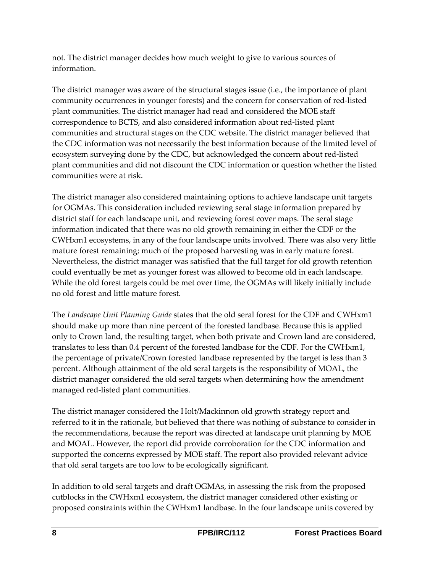not. The district manager decides how much weight to give to various sources of information.

The district manager was aware of the structural stages issue (i.e., the importance of plant community occurrences in younger forests) and the concern for conservation of red‐listed plant communities. The district manager had read and considered the MOE staff correspondence to BCTS, and also considered information about red‐listed plant communities and structural stages on the CDC website. The district manager believed that the CDC information was not necessarily the best information because of the limited level of ecosystem surveying done by the CDC, but acknowledged the concern about red‐listed plant communities and did not discount the CDC information or question whether the listed communities were at risk.

The district manager also considered maintaining options to achieve landscape unit targets for OGMAs. This consideration included reviewing seral stage information prepared by district staff for each landscape unit, and reviewing forest cover maps. The seral stage information indicated that there was no old growth remaining in either the CDF or the CWHxm1 ecosystems, in any of the four landscape units involved. There was also very little mature forest remaining; much of the proposed harvesting was in early mature forest. Nevertheless, the district manager was satisfied that the full target for old growth retention could eventually be met as younger forest was allowed to become old in each landscape. While the old forest targets could be met over time, the OGMAs will likely initially include no old forest and little mature forest.

The *Landscape Unit Planning Guide* states that the old seral forest for the CDF and CWHxm1 should make up more than nine percent of the forested landbase. Because this is applied only to Crown land, the resulting target, when both private and Crown land are considered, translates to less than 0.4 percent of the forested landbase for the CDF. For the CWHxm1, the percentage of private/Crown forested landbase represented by the target is less than 3 percent. Although attainment of the old seral targets is the responsibility of MOAL, the district manager considered the old seral targets when determining how the amendment managed red‐listed plant communities.

The district manager considered the Holt/Mackinnon old growth strategy report and referred to it in the rationale, but believed that there was nothing of substance to consider in the recommendations, because the report was directed at landscape unit planning by MOE and MOAL. However, the report did provide corroboration for the CDC information and supported the concerns expressed by MOE staff. The report also provided relevant advice that old seral targets are too low to be ecologically significant.

In addition to old seral targets and draft OGMAs, in assessing the risk from the proposed cutblocks in the CWHxm1 ecosystem, the district manager considered other existing or proposed constraints within the CWHxm1 landbase. In the four landscape units covered by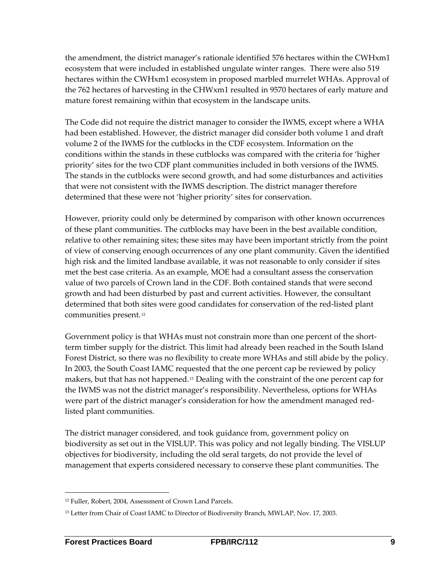the amendment, the district manager's rationale identified 576 hectares within the CWHxm1 ecosystem that were included in established ungulate winter ranges. There were also 519 hectares within the CWHxm1 ecosystem in proposed marbled murrelet WHAs. Approval of the 762 hectares of harvesting in the CHWxm1 resulted in 9570 hectares of early mature and mature forest remaining within that ecosystem in the landscape units.

The Code did not require the district manager to consider the IWMS, except where a WHA had been established. However, the district manager did consider both volume 1 and draft volume 2 of the IWMS for the cutblocks in the CDF ecosystem. Information on the conditions within the stands in these cutblocks was compared with the criteria for 'higher priority' sites for the two CDF plant communities included in both versions of the IWMS. The stands in the cutblocks were second growth, and had some disturbances and activities that were not consistent with the IWMS description. The district manager therefore determined that these were not 'higher priority' sites for conservation.

However, priority could only be determined by comparison with other known occurrences of these plant communities. The cutblocks may have been in the best available condition, relative to other remaining sites; these sites may have been important strictly from the point of view of conserving enough occurrences of any one plant community. Given the identified high risk and the limited landbase available, it was not reasonable to only consider if sites met the best case criteria. As an example, MOE had a consultant assess the conservation value of two parcels of Crown land in the CDF. Both contained stands that were second growth and had been disturbed by past and current activities. However, the consultant determined that both sites were good candidates for conservation of the red‐listed plant communities present. [12](#page-15-0)

Government policy is that WHAs must not constrain more than one percent of the short‐ term timber supply for the district. This limit had already been reached in the South Island Forest District, so there was no flexibility to create more WHAs and still abide by the policy. In 2003, the South Coast IAMC requested that the one percent cap be reviewed by policy makers, but that has not happened.[13](#page-15-1) Dealing with the constraint of the one percent cap for the IWMS was not the district manager's responsibility. Nevertheless, options for WHAs were part of the district manager's consideration for how the amendment managed red‐ listed plant communities.

The district manager considered, and took guidance from, government policy on biodiversity as set out in the VISLUP. This was policy and not legally binding. The VISLUP objectives for biodiversity, including the old seral targets, do not provide the level of management that experts considered necessary to conserve these plant communities. The

<u> 1989 - Johann Stein, marwolaethau a bh</u>

<span id="page-15-0"></span><sup>12</sup> Fuller, Robert, 2004, Assessment of Crown Land Parcels.

<span id="page-15-1"></span><sup>13</sup> Letter from Chair of Coast IAMC to Director of Biodiversity Branch, MWLAP, Nov. 17, 2003.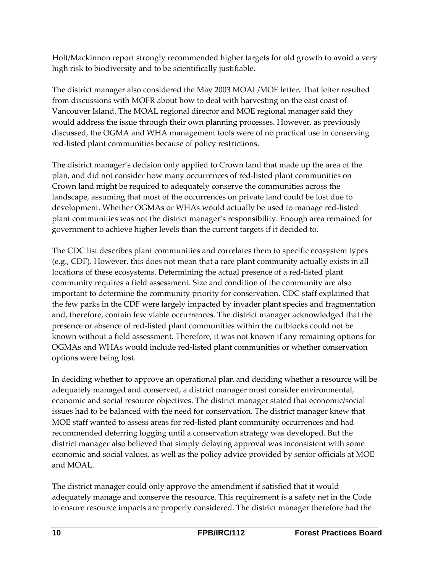Holt/Mackinnon report strongly recommended higher targets for old growth to avoid a very high risk to biodiversity and to be scientifically justifiable.

The district manager also considered the May 2003 MOAL/MOE letter**.** That letter resulted from discussions with MOFR about how to deal with harvesting on the east coast of Vancouver Island. The MOAL regional director and MOE regional manager said they would address the issue through their own planning processes. However, as previously discussed, the OGMA and WHA management tools were of no practical use in conserving red‐listed plant communities because of policy restrictions.

The district manager's decision only applied to Crown land that made up the area of the plan, and did not consider how many occurrences of red‐listed plant communities on Crown land might be required to adequately conserve the communities across the landscape, assuming that most of the occurrences on private land could be lost due to development. Whether OGMAs or WHAs would actually be used to manage red‐listed plant communities was not the district manager's responsibility. Enough area remained for government to achieve higher levels than the current targets if it decided to.

The CDC list describes plant communities and correlates them to specific ecosystem types (e.g., CDF). However, this does not mean that a rare plant community actually exists in all locations of these ecosystems. Determining the actual presence of a red‐listed plant community requires a field assessment. Size and condition of the community are also important to determine the community priority for conservation. CDC staff explained that the few parks in the CDF were largely impacted by invader plant species and fragmentation and, therefore, contain few viable occurrences. The district manager acknowledged that the presence or absence of red‐listed plant communities within the cutblocks could not be known without a field assessment. Therefore, it was not known if any remaining options for OGMAs and WHAs would include red‐listed plant communities or whether conservation options were being lost.

In deciding whether to approve an operational plan and deciding whether a resource will be adequately managed and conserved, a district manager must consider environmental, economic and social resource objectives. The district manager stated that economic/social issues had to be balanced with the need for conservation. The district manager knew that MOE staff wanted to assess areas for red‐listed plant community occurrences and had recommended deferring logging until a conservation strategy was developed. But the district manager also believed that simply delaying approval was inconsistent with some economic and social values, as well as the policy advice provided by senior officials at MOE and MOAL.

The district manager could only approve the amendment if satisfied that it would adequately manage and conserve the resource. This requirement is a safety net in the Code to ensure resource impacts are properly considered. The district manager therefore had the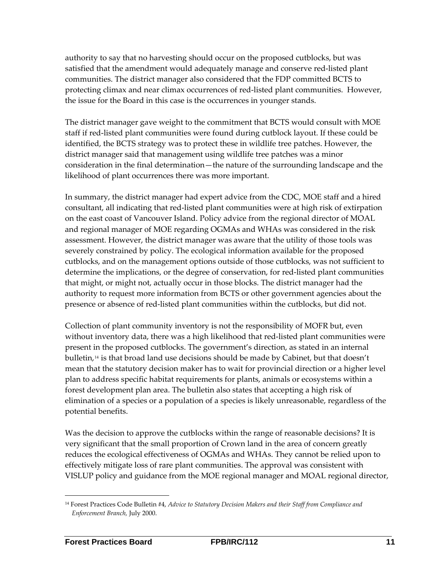authority to say that no harvesting should occur on the proposed cutblocks, but was satisfied that the amendment would adequately manage and conserve red-listed plant communities. The district manager also considered that the FDP committed BCTS to protecting climax and near climax occurrences of red‐listed plant communities. However, the issue for the Board in this case is the occurrences in younger stands.

The district manager gave weight to the commitment that BCTS would consult with MOE staff if red‐listed plant communities were found during cutblock layout. If these could be identified, the BCTS strategy was to protect these in wildlife tree patches. However, the district manager said that management using wildlife tree patches was a minor consideration in the final determination—the nature of the surrounding landscape and the likelihood of plant occurrences there was more important.

In summary, the district manager had expert advice from the CDC, MOE staff and a hired consultant, all indicating that red‐listed plant communities were at high risk of extirpation on the east coast of Vancouver Island. Policy advice from the regional director of MOAL and regional manager of MOE regarding OGMAs and WHAs was considered in the risk assessment. However, the district manager was aware that the utility of those tools was severely constrained by policy. The ecological information available for the proposed cutblocks, and on the management options outside of those cutblocks, was not sufficient to determine the implications, or the degree of conservation, for red‐listed plant communities that might, or might not, actually occur in those blocks. The district manager had the authority to request more information from BCTS or other government agencies about the presence or absence of red‐listed plant communities within the cutblocks, but did not.

Collection of plant community inventory is not the responsibility of MOFR but, even without inventory data, there was a high likelihood that red‐listed plant communities were present in the proposed cutblocks. The government's direction, as stated in an internal bulletin,[14](#page-17-0) is that broad land use decisions should be made by Cabinet, but that doesn't mean that the statutory decision maker has to wait for provincial direction or a higher level plan to address specific habitat requirements for plants, animals or ecosystems within a forest development plan area. The bulletin also states that accepting a high risk of elimination of a species or a population of a species is likely unreasonable, regardless of the potential benefits.

Was the decision to approve the cutblocks within the range of reasonable decisions? It is very significant that the small proportion of Crown land in the area of concern greatly reduces the ecological effectiveness of OGMAs and WHAs. They cannot be relied upon to effectively mitigate loss of rare plant communities. The approval was consistent with VISLUP policy and guidance from the MOE regional manager and MOAL regional director,

<u> 1989 - Johann Barn, mars ar breithinn ar chuid ann an t-</u>

<span id="page-17-0"></span><sup>14</sup> Forest Practices Code Bulletin #4, *Advice to Statutory Decision Makers and their Staff from Compliance and Enforcement Branch,* July 2000.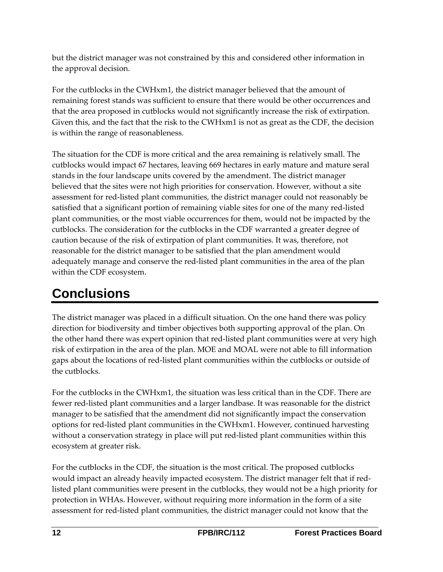<span id="page-18-0"></span>but the district manager was not constrained by this and considered other information in the approval decision.

For the cutblocks in the CWHxm1, the district manager believed that the amount of remaining forest stands was sufficient to ensure that there would be other occurrences and that the area proposed in cutblocks would not significantly increase the risk of extirpation. Given this, and the fact that the risk to the CWHxm1 is not as great as the CDF, the decision is within the range of reasonableness.

The situation for the CDF is more critical and the area remaining is relatively small. The cutblocks would impact 67 hectares, leaving 669 hectares in early mature and mature seral stands in the four landscape units covered by the amendment. The district manager believed that the sites were not high priorities for conservation. However, without a site assessment for red‐listed plant communities, the district manager could not reasonably be satisfied that a significant portion of remaining viable sites for one of the many red‐listed plant communities, or the most viable occurrences for them, would not be impacted by the cutblocks. The consideration for the cutblocks in the CDF warranted a greater degree of caution because of the risk of extirpation of plant communities. It was, therefore, not reasonable for the district manager to be satisfied that the plan amendment would adequately manage and conserve the red‐listed plant communities in the area of the plan within the CDF ecosystem.

## **Conclusions**

The district manager was placed in a difficult situation. On the one hand there was policy direction for biodiversity and timber objectives both supporting approval of the plan. On the other hand there was expert opinion that red‐listed plant communities were at very high risk of extirpation in the area of the plan. MOE and MOAL were not able to fill information gaps about the locations of red‐listed plant communities within the cutblocks or outside of the cutblocks.

For the cutblocks in the CWHxm1, the situation was less critical than in the CDF. There are fewer red‐listed plant communities and a larger landbase. It was reasonable for the district manager to be satisfied that the amendment did not significantly impact the conservation options for red‐listed plant communities in the CWHxm1. However, continued harvesting without a conservation strategy in place will put red-listed plant communities within this ecosystem at greater risk.

For the cutblocks in the CDF, the situation is the most critical. The proposed cutblocks would impact an already heavily impacted ecosystem. The district manager felt that if red‐ listed plant communities were present in the cutblocks, they would not be a high priority for protection in WHAs. However, without requiring more information in the form of a site assessment for red‐listed plant communities, the district manager could not know that the